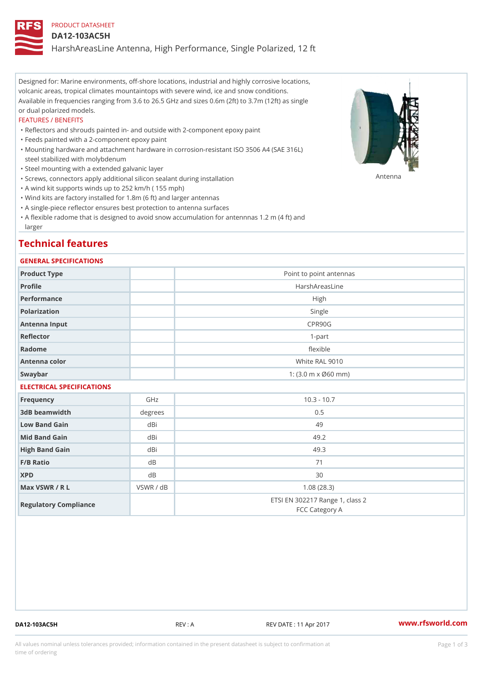# PRODUCT DATASHEET

### DA12-103AC5H

HarshAreasLine Antenna, High Performance, Single Polarized, 12 ft

Designed for: Marine environments, off-shore locations, industrial and highly corrosive locations, volcanic areas, tropical climates mountaintops with severe wind, ice and snow conditions. Available in frequencies ranging from 3.6 to 26.5 GHz and sizes 0.6m (2ft) to 3.7m (12ft) as single or dual polarized models.

#### FEATURES / BENEFITS

"Reflectors and shrouds painted in- and outside with 2-component epoxy paint

- "Feeds painted with a 2-component epoxy paint
- Mounting hardware and attachment hardware in corrosion-resistant ISO 3506 A4 (SAE 316L) " steel stabilized with molybdenum
- "Steel mounting with a extended galvanic layer
- "Screws, connectors apply additional silicon sealant during installation Antenna
- "A wind kit supports winds up to 252 km/h ( 155 mph)
- "Wind kits are factory installed for 1.8m (6 ft) and larger antennas
- "A single-piece reflector ensures best protection to antenna surfaces
- "A flexible radome that is designed to avoid snow accumulation for antennnas 1.2 m (4 ft) and larger

# Technical features

## GENERAL SPECIFICATIONS

| Product Type              |                     | Point to point antennas                           |  |  |
|---------------------------|---------------------|---------------------------------------------------|--|--|
| Profile                   |                     | HarshAreasLine                                    |  |  |
| Performance               |                     | High                                              |  |  |
| Polarization              |                     | Single                                            |  |  |
| Antenna Input             |                     | CPR90G                                            |  |  |
| Reflector                 |                     | $1 - p$ art                                       |  |  |
| Radome                    |                     | flexible                                          |  |  |
| Antenna color             |                     | White RAL 9010                                    |  |  |
| Swaybar                   | 1: (3.0 m x Ø60 mm) |                                                   |  |  |
| ELECTRICAL SPECIFICATIONS |                     |                                                   |  |  |
| Frequency                 | GHz                 | $10.3 - 10.7$                                     |  |  |
| 3dB beamwidth             | degree              | 0.5                                               |  |  |
| Low Band Gain             | dBi                 | 49                                                |  |  |
| Mid Band Gain             | dBi                 | 49.2                                              |  |  |
| High Band Gain            | dBi                 | 49.3                                              |  |  |
| F/B Ratio                 | d B                 | 71                                                |  |  |
| <b>XPD</b>                | d B                 | 30                                                |  |  |
| Max VSWR / R L            | VSWR / dB           | 1.08(28.3)                                        |  |  |
| Regulatory Compliance     |                     | ETSI EN 302217 Range 1, class 2<br>FCC Category A |  |  |

DA12-103AC5H REV : A REV DATE : 11 Apr 2017 [www.](https://www.rfsworld.com)rfsworld.com

All values nominal unless tolerances provided; information contained in the present datasheet is subject to Pcapgeign mation time of ordering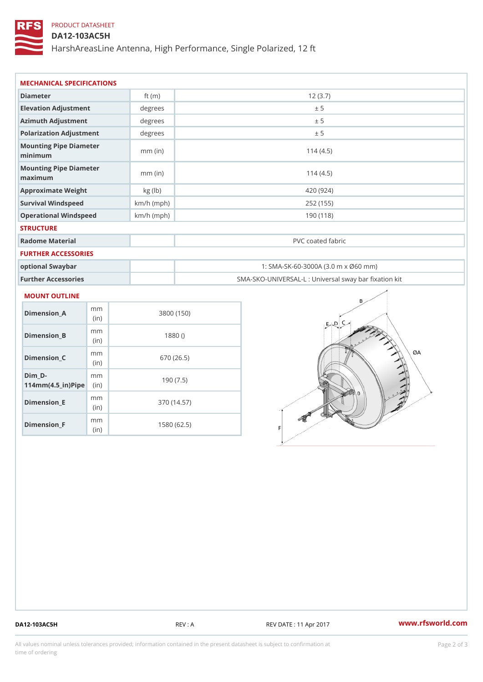# PRODUCT DATASHEET

DA12-103AC5H

HarshAreasLine Antenna, High Performance, Single Polarized, 12 ft

| MECHANICAL SPECIFICATIONS                     |               |                                                   |
|-----------------------------------------------|---------------|---------------------------------------------------|
| Diameter                                      | ft $(m)$      | 12(3.7)                                           |
| Elevation Adjustment                          | degrees       | ± 5                                               |
| Azimuth Adjustment                            | degree        | ± 5                                               |
| Polarization Adjustment                       | degree        | ± 5                                               |
| Mounting Pipe Diameter<br>minimum             | $mm$ (in)     | 114(4.5)                                          |
| Mounting Pipe Diameter<br>$m$ a x i $m$ u $m$ | $mm$ (in)     | 114(4.5)                                          |
| Approximate Weight                            | $kg$ ( $lb$ ) | 420 (924)                                         |
| Survival Windspeed                            | $km/h$ (mph)  | 252 (155)                                         |
| Operational Windspeed                         | $km/h$ (mph)  | 190(118)                                          |
| <b>STRUCTURE</b>                              |               |                                                   |
| Radome Material                               |               | PVC coated fabric                                 |
| FURTHER ACCESSORIES                           |               |                                                   |
| optional Swaybar                              |               | 1: SMA-SK-60-3000A (3.0 m x Ø60 mm)               |
| Further Accessories                           |               | SMA-SKO-UNIVERSAL-L : Universal sway bar fixation |

# MOUNT OUTLINE

| Dimension A                                                   | m m<br>(in)  | 3800 (150)  |
|---------------------------------------------------------------|--------------|-------------|
| Dimension B                                                   | m m<br>(i n) | 1880()      |
| Dimension C                                                   | m m<br>(i n) | 670 (26.5)  |
| Dim D-<br>$114$ m m (4.5 _ i r ) $\mathbb{R}$ in $\mathbb{R}$ | m m          | 190(7.5)    |
| Dimension E                                                   | m m<br>(i n) | 370 (14.57) |
| Dimension F                                                   | m m<br>(i n) | 1580 (62.5) |

DA12-103AC5H REV : A REV DATE : 11 Apr 2017 [www.](https://www.rfsworld.com)rfsworld.com